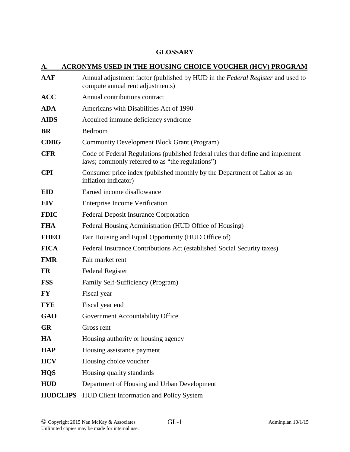## **GLOSSARY**

| А.              | <b>ACRONYMS USED IN THE HOUSING CHOICE VOUCHER (HCV) PROGRAM</b>                                                                   |
|-----------------|------------------------------------------------------------------------------------------------------------------------------------|
| <b>AAF</b>      | Annual adjustment factor (published by HUD in the Federal Register and used to<br>compute annual rent adjustments)                 |
| <b>ACC</b>      | Annual contributions contract                                                                                                      |
| <b>ADA</b>      | Americans with Disabilities Act of 1990                                                                                            |
| <b>AIDS</b>     | Acquired immune deficiency syndrome                                                                                                |
| <b>BR</b>       | Bedroom                                                                                                                            |
| <b>CDBG</b>     | <b>Community Development Block Grant (Program)</b>                                                                                 |
| <b>CFR</b>      | Code of Federal Regulations (published federal rules that define and implement<br>laws; commonly referred to as "the regulations") |
| <b>CPI</b>      | Consumer price index (published monthly by the Department of Labor as an<br>inflation indicator)                                   |
| <b>EID</b>      | Earned income disallowance                                                                                                         |
| <b>EIV</b>      | <b>Enterprise Income Verification</b>                                                                                              |
| <b>FDIC</b>     | <b>Federal Deposit Insurance Corporation</b>                                                                                       |
| <b>FHA</b>      | Federal Housing Administration (HUD Office of Housing)                                                                             |
| <b>FHEO</b>     | Fair Housing and Equal Opportunity (HUD Office of)                                                                                 |
| <b>FICA</b>     | Federal Insurance Contributions Act (established Social Security taxes)                                                            |
| <b>FMR</b>      | Fair market rent                                                                                                                   |
| <b>FR</b>       | <b>Federal Register</b>                                                                                                            |
| <b>FSS</b>      | Family Self-Sufficiency (Program)                                                                                                  |
| <b>FY</b>       | Fiscal year                                                                                                                        |
| <b>FYE</b>      | Fiscal year end                                                                                                                    |
| <b>GAO</b>      | Government Accountability Office                                                                                                   |
| <b>GR</b>       | Gross rent                                                                                                                         |
| HA              | Housing authority or housing agency                                                                                                |
| <b>HAP</b>      | Housing assistance payment                                                                                                         |
| <b>HCV</b>      | Housing choice voucher                                                                                                             |
| <b>HQS</b>      | Housing quality standards                                                                                                          |
| <b>HUD</b>      | Department of Housing and Urban Development                                                                                        |
| <b>HUDCLIPS</b> | HUD Client Information and Policy System                                                                                           |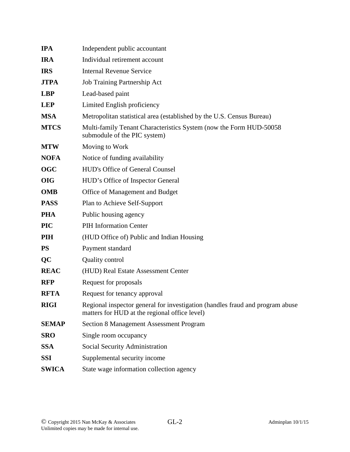| <b>IPA</b>   | Independent public accountant                                                                                                  |
|--------------|--------------------------------------------------------------------------------------------------------------------------------|
| <b>IRA</b>   | Individual retirement account                                                                                                  |
| <b>IRS</b>   | <b>Internal Revenue Service</b>                                                                                                |
| <b>JTPA</b>  | Job Training Partnership Act                                                                                                   |
| <b>LBP</b>   | Lead-based paint                                                                                                               |
| <b>LEP</b>   | Limited English proficiency                                                                                                    |
| <b>MSA</b>   | Metropolitan statistical area (established by the U.S. Census Bureau)                                                          |
| <b>MTCS</b>  | Multi-family Tenant Characteristics System (now the Form HUD-50058<br>submodule of the PIC system)                             |
| <b>MTW</b>   | Moving to Work                                                                                                                 |
| <b>NOFA</b>  | Notice of funding availability                                                                                                 |
| <b>OGC</b>   | <b>HUD's Office of General Counsel</b>                                                                                         |
| <b>OIG</b>   | HUD's Office of Inspector General                                                                                              |
| <b>OMB</b>   | Office of Management and Budget                                                                                                |
| <b>PASS</b>  | Plan to Achieve Self-Support                                                                                                   |
| <b>PHA</b>   | Public housing agency                                                                                                          |
| <b>PIC</b>   | <b>PIH Information Center</b>                                                                                                  |
| <b>PIH</b>   | (HUD Office of) Public and Indian Housing                                                                                      |
| <b>PS</b>    | Payment standard                                                                                                               |
| QC           | <b>Quality control</b>                                                                                                         |
| <b>REAC</b>  | (HUD) Real Estate Assessment Center                                                                                            |
| <b>RFP</b>   | Request for proposals                                                                                                          |
| <b>RFTA</b>  | Request for tenancy approval                                                                                                   |
| <b>RIGI</b>  | Regional inspector general for investigation (handles fraud and program abuse<br>matters for HUD at the regional office level) |
| <b>SEMAP</b> | <b>Section 8 Management Assessment Program</b>                                                                                 |
| <b>SRO</b>   | Single room occupancy                                                                                                          |
| <b>SSA</b>   | Social Security Administration                                                                                                 |
| <b>SSI</b>   | Supplemental security income                                                                                                   |
| <b>SWICA</b> | State wage information collection agency                                                                                       |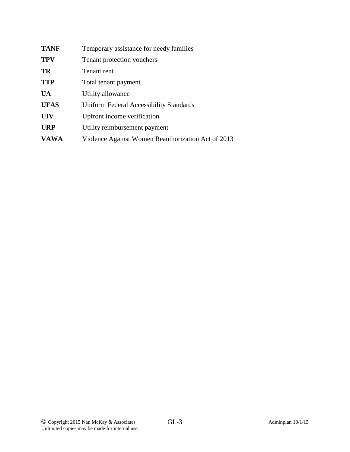| <b>TANF</b> | Temporary assistance for needy families            |
|-------------|----------------------------------------------------|
| <b>TPV</b>  | Tenant protection vouchers                         |
| TR          | Tenant rent                                        |
| <b>TTP</b>  | Total tenant payment                               |
| <b>UA</b>   | Utility allowance                                  |
| <b>UFAS</b> | Uniform Federal Accessibility Standards            |
| <b>UIV</b>  | Upfront income verification                        |
| <b>URP</b>  | Utility reimbursement payment                      |
| <b>VAWA</b> | Violence Against Women Reauthorization Act of 2013 |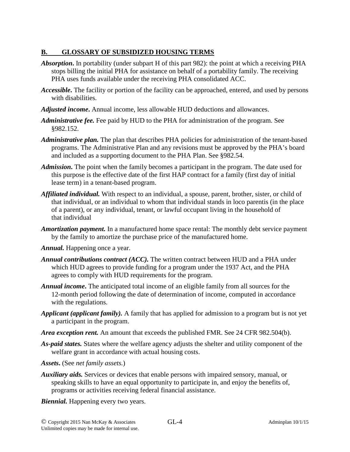## **B. GLOSSARY OF SUBSIDIZED HOUSING TERMS**

- *Absorption***.** In portability (under subpart H of this part 982): the point at which a receiving PHA stops billing the initial PHA for assistance on behalf of a portability family. The receiving PHA uses funds available under the receiving PHA consolidated ACC.
- *Accessible***.** The facility or portion of the facility can be approached, entered, and used by persons with disabilities.
- *Adjusted income***.** Annual income, less allowable HUD deductions and allowances.
- *Administrative fee.* Fee paid by HUD to the PHA for administration of the program. See §982.152.
- *Administrative plan.* The plan that describes PHA policies for administration of the tenant-based programs. The Administrative Plan and any revisions must be approved by the PHA's board and included as a supporting document to the PHA Plan. See §982.54.
- *Admission***.** The point when the family becomes a participant in the program. The date used for this purpose is the effective date of the first HAP contract for a family (first day of initial lease term) in a tenant-based program.
- *Affiliated individual.* With respect to an individual, a spouse, parent, brother, sister, or child of that individual, or an individual to whom that individual stands in loco parentis (in the place of a parent), or any individual, tenant, or lawful occupant living in the household of that individual
- *Amortization payment.* In a manufactured home space rental: The monthly debt service payment by the family to amortize the purchase price of the manufactured home.
- *Annual.* Happening once a year.
- *Annual contributions contract (ACC).* The written contract between HUD and a PHA under which HUD agrees to provide funding for a program under the 1937 Act, and the PHA agrees to comply with HUD requirements for the program.
- *Annual income***.** The anticipated total income of an eligible family from all sources for the 12-month period following the date of determination of income, computed in accordance with the regulations.
- *Applicant (applicant family).* A family that has applied for admission to a program but is not yet a participant in the program.
- *Area exception rent.* An amount that exceeds the published FMR. See 24 CFR 982.504(b).
- *As-paid states.* States where the welfare agency adjusts the shelter and utility component of the welfare grant in accordance with actual housing costs.
- *Assets***.** (See *net family assets.*)
- *Auxiliary aids.* Services or devices that enable persons with impaired sensory, manual, or speaking skills to have an equal opportunity to participate in, and enjoy the benefits of, programs or activities receiving federal financial assistance.
- *Biennial.* Happening every two years.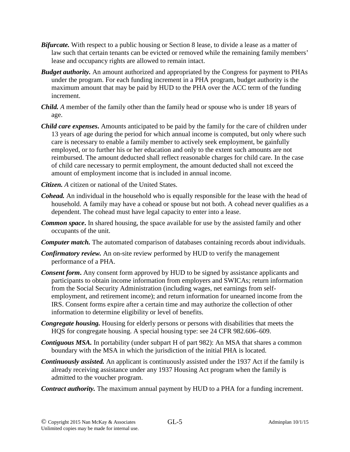- *Bifurcate.* With respect to a public housing or Section 8 lease, to divide a lease as a matter of law such that certain tenants can be evicted or removed while the remaining family members' lease and occupancy rights are allowed to remain intact.
- *Budget authority.* An amount authorized and appropriated by the Congress for payment to PHAs under the program. For each funding increment in a PHA program, budget authority is the maximum amount that may be paid by HUD to the PHA over the ACC term of the funding increment.
- *Child. A* member of the family other than the family head or spouse who is under 18 years of age.
- *Child care expenses***.** Amounts anticipated to be paid by the family for the care of children under 13 years of age during the period for which annual income is computed, but only where such care is necessary to enable a family member to actively seek employment, be gainfully employed, or to further his or her education and only to the extent such amounts are not reimbursed. The amount deducted shall reflect reasonable charges for child care. In the case of child care necessary to permit employment, the amount deducted shall not exceed the amount of employment income that is included in annual income.
- *Citizen. A* citizen or national of the United States.
- *Cohead.* An individual in the household who is equally responsible for the lease with the head of household. A family may have a cohead or spouse but not both. A cohead never qualifies as a dependent. The cohead must have legal capacity to enter into a lease.
- *Common space***.** In shared housing, the space available for use by the assisted family and other occupants of the unit.
- *Computer match.* The automated comparison of databases containing records about individuals.
- *Confirmatory review.* An on-site review performed by HUD to verify the management performance of a PHA.
- *Consent form***.** Any consent form approved by HUD to be signed by assistance applicants and participants to obtain income information from employers and SWICAs; return information from the Social Security Administration (including wages, net earnings from selfemployment, and retirement income); and return information for unearned income from the IRS. Consent forms expire after a certain time and may authorize the collection of other information to determine eligibility or level of benefits.
- *Congregate housing.* Housing for elderly persons or persons with disabilities that meets the HQS for congregate housing. A special housing type: see 24 CFR 982.606–609.
- *Contiguous MSA.* In portability (under subpart H of part 982): An MSA that shares a common boundary with the MSA in which the jurisdiction of the initial PHA is located.
- *Continuously assisted.* An applicant is continuously assisted under the 1937 Act if the family is already receiving assistance under any 1937 Housing Act program when the family is admitted to the voucher program.
- *Contract authority.* The maximum annual payment by HUD to a PHA for a funding increment.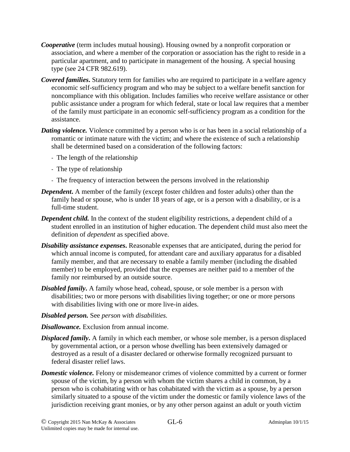- *Cooperative* (term includes mutual housing). Housing owned by a nonprofit corporation or association, and where a member of the corporation or association has the right to reside in a particular apartment, and to participate in management of the housing. A special housing type (see 24 CFR 982.619).
- *Covered families***.** Statutory term for families who are required to participate in a welfare agency economic self-sufficiency program and who may be subject to a welfare benefit sanction for noncompliance with this obligation. Includes families who receive welfare assistance or other public assistance under a program for which federal, state or local law requires that a member of the family must participate in an economic self-sufficiency program as a condition for the assistance.
- *Dating violence.* Violence committed by a person who is or has been in a social relationship of a romantic or intimate nature with the victim; and where the existence of such a relationship shall be determined based on a consideration of the following factors:
	- The length of the relationship
	- The type of relationship
	- The frequency of interaction between the persons involved in the relationship
- *Dependent*. A member of the family (except foster children and foster adults) other than the family head or spouse, who is under 18 years of age, or is a person with a disability, or is a full-time student.
- *Dependent child.* In the context of the student eligibility restrictions*,* a dependent child of a student enrolled in an institution of higher education. The dependent child must also meet the definition of *dependent* as specified above.
- *Disability assistance expenses***.** Reasonable expenses that are anticipated, during the period for which annual income is computed, for attendant care and auxiliary apparatus for a disabled family member, and that are necessary to enable a family member (including the disabled member) to be employed, provided that the expenses are neither paid to a member of the family nor reimbursed by an outside source.
- *Disabled family***.** A family whose head, cohead, spouse, or sole member is a person with disabilities; two or more persons with disabilities living together; or one or more persons with disabilities living with one or more live-in aides.
- *Disabled person.* See *person with disabilities.*
- *Disallowance.* Exclusion from annual income.
- *Displaced family***.** A family in which each member, or whose sole member, is a person displaced by governmental action, or a person whose dwelling has been extensively damaged or destroyed as a result of a disaster declared or otherwise formally recognized pursuant to federal disaster relief laws.
- *Domestic violence*. Felony or misdemeanor crimes of violence committed by a current or former spouse of the victim, by a person with whom the victim shares a child in common, by a person who is cohabitating with or has cohabitated with the victim as a spouse, by a person similarly situated to a spouse of the victim under the domestic or family violence laws of the jurisdiction receiving grant monies, or by any other person against an adult or youth victim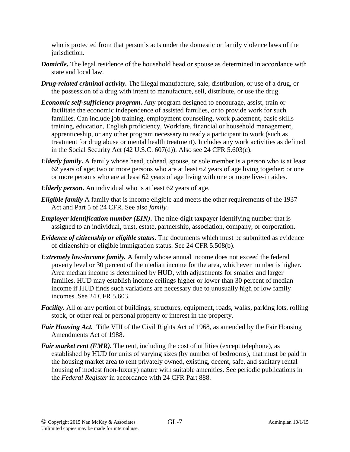who is protected from that person's acts under the domestic or family violence laws of the jurisdiction.

- *Domicile***.** The legal residence of the household head or spouse as determined in accordance with state and local law.
- *Drug-related criminal activity.* The illegal manufacture, sale, distribution, or use of a drug, or the possession of a drug with intent to manufacture, sell, distribute, or use the drug.
- *Economic self-sufficiency program***.** Any program designed to encourage, assist, train or facilitate the economic independence of assisted families, or to provide work for such families. Can include job training, employment counseling, work placement, basic skills training, education, English proficiency, Workfare, financial or household management, apprenticeship, or any other program necessary to ready a participant to work (such as treatment for drug abuse or mental health treatment). Includes any work activities as defined in the Social Security Act (42 U.S.C. 607(d)). Also see 24 CFR 5.603(c).
- *Elderly family***.** A family whose head, cohead, spouse, or sole member is a person who is at least 62 years of age; two or more persons who are at least 62 years of age living together; or one or more persons who are at least 62 years of age living with one or more live-in aides.
- *Elderly person***.** An individual who is at least 62 years of age.
- *Eligible family* A family that is income eligible and meets the other requirements of the 1937 Act and Part 5 of 24 CFR. See also *family.*
- *Employer identification number (EIN)***.** The nine-digit taxpayer identifying number that is assigned to an individual, trust, estate, partnership, association, company, or corporation.
- *Evidence of citizenship or eligible status***.** The documents which must be submitted as evidence of citizenship or eligible immigration status. See 24 CFR 5.508(b).
- *Extremely low-income family.* A family whose annual income does not exceed the federal poverty level or 30 percent of the median income for the area, whichever number is higher. Area median income is determined by HUD, with adjustments for smaller and larger families. HUD may establish income ceilings higher or lower than 30 percent of median income if HUD finds such variations are necessary due to unusually high or low family incomes. See 24 CFR 5.603.
- *Facility.* All or any portion of buildings, structures, equipment, roads, walks, parking lots, rolling stock, or other real or personal property or interest in the property.
- *Fair Housing Act.* Title VIII of the Civil Rights Act of 1968, as amended by the Fair Housing Amendments Act of 1988.
- *Fair market rent (FMR)*. The rent, including the cost of utilities (except telephone), as established by HUD for units of varying sizes (by number of bedrooms), that must be paid in the housing market area to rent privately owned, existing, decent, safe, and sanitary rental housing of modest (non-luxury) nature with suitable amenities. See periodic publications in the *Federal Register* in accordance with 24 CFR Part 888.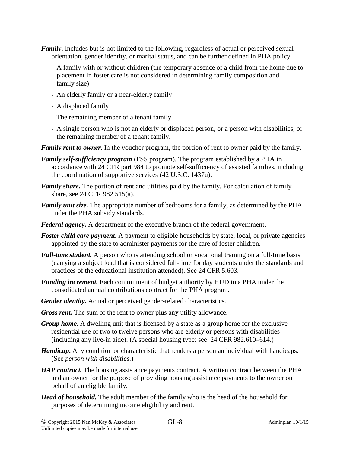- *Family***.** Includes but is not limited to the following, regardless of actual or perceived sexual orientation, gender identity, or marital status, and can be further defined in PHA policy.
	- A family with or without children (the temporary absence of a child from the home due to placement in foster care is not considered in determining family composition and family size)
	- An elderly family or a near-elderly family
	- A displaced family
	- The remaining member of a tenant family
	- A single person who is not an elderly or displaced person, or a person with disabilities, or the remaining member of a tenant family.

*Family rent to owner.* In the voucher program, the portion of rent to owner paid by the family.

- *Family self-sufficiency program* (FSS program). The program established by a PHA in accordance with 24 CFR part 984 to promote self-sufficiency of assisted families, including the coordination of supportive services (42 U.S.C. 1437u).
- *Family share.* The portion of rent and utilities paid by the family. For calculation of family share, see 24 CFR 982.515(a).
- *Family unit size.* The appropriate number of bedrooms for a family, as determined by the PHA under the PHA subsidy standards.
- *Federal agency***.** A department of the executive branch of the federal government.
- *Foster child care payment*. A payment to eligible households by state, local, or private agencies appointed by the state to administer payments for the care of foster children.
- *Full-time student.* A person who is attending school or vocational training on a full-time basis (carrying a subject load that is considered full-time for day students under the standards and practices of the educational institution attended). See 24 CFR 5.603.
- *Funding increment.* Each commitment of budget authority by HUD to a PHA under the consolidated annual contributions contract for the PHA program.
- *Gender identity.* Actual or perceived gender-related characteristics.
- *Gross rent.* The sum of the rent to owner plus any utility allowance.
- *Group home.* A dwelling unit that is licensed by a state as a group home for the exclusive residential use of two to twelve persons who are elderly or persons with disabilities (including any live-in aide). (A special housing type: see 24 CFR 982.610–614.)
- *Handicap***.** Any condition or characteristic that renders a person an individual with handicaps. (See *person with disabilities*.)
- *HAP contract*. The housing assistance payments contract. A written contract between the PHA and an owner for the purpose of providing housing assistance payments to the owner on behalf of an eligible family.
- *Head of household.* The adult member of the family who is the head of the household for purposes of determining income eligibility and rent.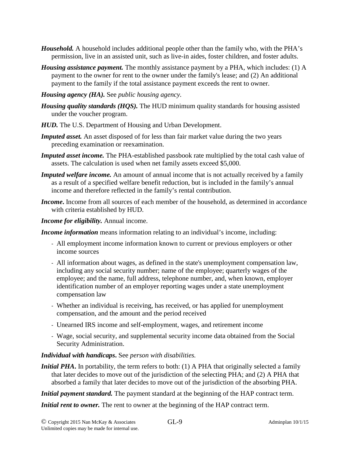- *Household.* A household includes additional people other than the family who, with the PHA's permission, live in an assisted unit, such as live-in aides, foster children, and foster adults.
- *Housing assistance payment.* The monthly assistance payment by a PHA, which includes: (1) A payment to the owner for rent to the owner under the family's lease; and (2) An additional payment to the family if the total assistance payment exceeds the rent to owner.
- *Housing agency (HA).* See *public housing agency.*
- *Housing quality standards (HQS).* The HUD minimum quality standards for housing assisted under the voucher program.
- *HUD.* The U.S. Department of Housing and Urban Development.
- *Imputed asset.* An asset disposed of for less than fair market value during the two years preceding examination or reexamination.
- *Imputed asset income.* The PHA-established passbook rate multiplied by the total cash value of assets. The calculation is used when net family assets exceed \$5,000.
- *Imputed welfare income.* An amount of annual income that is not actually received by a family as a result of a specified welfare benefit reduction, but is included in the family's annual income and therefore reflected in the family's rental contribution.
- *Income***.** Income from all sources of each member of the household, as determined in accordance with criteria established by HUD.
- *Income for eligibility.* Annual income.

*Income information* means information relating to an individual's income, including:

- All employment income information known to current or previous employers or other income sources
- All information about wages, as defined in the state's unemployment compensation law, including any social security number; name of the employee; quarterly wages of the employee; and the name, full address, telephone number, and, when known, employer identification number of an employer reporting wages under a state unemployment compensation law
- Whether an individual is receiving, has received, or has applied for unemployment compensation, and the amount and the period received
- Unearned IRS income and self-employment, wages, and retirement income
- Wage, social security, and supplemental security income data obtained from the Social Security Administration.

## *Individual with handicaps***.** See *person with disabilities.*

*Initial PHA***.** In portability, the term refers to both: (1) A PHA that originally selected a family that later decides to move out of the jurisdiction of the selecting PHA; and (2) A PHA that absorbed a family that later decides to move out of the jurisdiction of the absorbing PHA.

*Initial payment standard*. The payment standard at the beginning of the HAP contract term.

*Initial rent to owner*. The rent to owner at the beginning of the HAP contract term.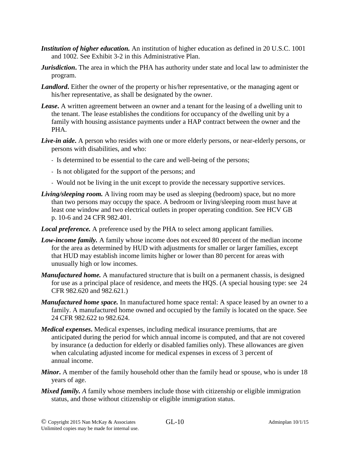- *Institution of higher education.* An institution of higher education as defined in 20 U.S.C. 1001 and 1002. See Exhibit 3-2 in this Administrative Plan.
- *Jurisdiction*. The area in which the PHA has authority under state and local law to administer the program.
- *Landlord*. Either the owner of the property or his/her representative, or the managing agent or his/her representative, as shall be designated by the owner.
- *Lease***.** A written agreement between an owner and a tenant for the leasing of a dwelling unit to the tenant. The lease establishes the conditions for occupancy of the dwelling unit by a family with housing assistance payments under a HAP contract between the owner and the PHA.
- *Live-in aide***.** A person who resides with one or more elderly persons, or near-elderly persons, or persons with disabilities, and who:
	- Is determined to be essential to the care and well-being of the persons;
	- Is not obligated for the support of the persons; and
	- Would not be living in the unit except to provide the necessary supportive services.
- *Living/sleeping room.* A living room may be used as sleeping (bedroom) space, but no more than two persons may occupy the space. A bedroom or living/sleeping room must have at least one window and two electrical outlets in proper operating condition. See HCV GB p. 10-6 and 24 CFR 982.401.
- *Local preference.* A preference used by the PHA to select among applicant families.
- *Low-income family.* A family whose income does not exceed 80 percent of the median income for the area as determined by HUD with adjustments for smaller or larger families, except that HUD may establish income limits higher or lower than 80 percent for areas with unusually high or low incomes.
- *Manufactured home.* A manufactured structure that is built on a permanent chassis, is designed for use as a principal place of residence, and meets the HQS. (A special housing type: see 24 CFR 982.620 and 982.621.)
- *Manufactured home space.* In manufactured home space rental: A space leased by an owner to a family. A manufactured home owned and occupied by the family is located on the space. See 24 CFR 982.622 to 982.624.
- *Medical expenses***.** Medical expenses, including medical insurance premiums, that are anticipated during the period for which annual income is computed, and that are not covered by insurance (a deduction for elderly or disabled families only). These allowances are given when calculating adjusted income for medical expenses in excess of 3 percent of annual income.
- *Minor***.** A member of the family household other than the family head or spouse, who is under 18 years of age.
- *Mixed family. A* family whose members include those with citizenship or eligible immigration status, and those without citizenship or eligible immigration status.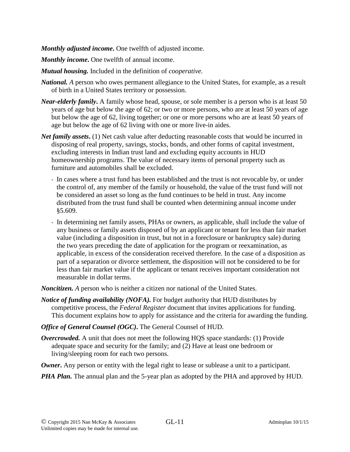*Monthly adjusted income***.** One twelfth of adjusted income.

*Monthly income***.** One twelfth of annual income.

- *Mutual housing.* Included in the definition of *cooperative.*
- *National. A* person who owes permanent allegiance to the United States, for example, as a result of birth in a United States territory or possession.
- *Near-elderly family***.** A family whose head, spouse, or sole member is a person who is at least 50 years of age but below the age of 62; or two or more persons, who are at least 50 years of age but below the age of 62, living together; or one or more persons who are at least 50 years of age but below the age of 62 living with one or more live-in aides.
- *Net family assets***.** (1) Net cash value after deducting reasonable costs that would be incurred in disposing of real property, savings, stocks, bonds, and other forms of capital investment, excluding interests in Indian trust land and excluding equity accounts in HUD homeownership programs. The value of necessary items of personal property such as furniture and automobiles shall be excluded.
	- In cases where a trust fund has been established and the trust is not revocable by, or under the control of, any member of the family or household, the value of the trust fund will not be considered an asset so long as the fund continues to be held in trust. Any income distributed from the trust fund shall be counted when determining annual income under §5.609.
	- In determining net family assets, PHAs or owners, as applicable, shall include the value of any business or family assets disposed of by an applicant or tenant for less than fair market value (including a disposition in trust, but not in a foreclosure or bankruptcy sale) during the two years preceding the date of application for the program or reexamination, as applicable, in excess of the consideration received therefore. In the case of a disposition as part of a separation or divorce settlement, the disposition will not be considered to be for less than fair market value if the applicant or tenant receives important consideration not measurable in dollar terms.

*Noncitizen. A* person who is neither a citizen nor national of the United States.

- *Notice of funding availability (NOFA).* For budget authority that HUD distributes by competitive process, the *Federal Register* document that invites applications for funding. This document explains how to apply for assistance and the criteria for awarding the funding.
- *Office of General Counsel (OGC)***.** The General Counsel of HUD.
- *Overcrowded.* A unit that does not meet the following HQS space standards: (1) Provide adequate space and security for the family; and (2) Have at least one bedroom or living/sleeping room for each two persons.
- *Owner*. Any person or entity with the legal right to lease or sublease a unit to a participant.
- *PHA Plan.* The annual plan and the 5-year plan as adopted by the PHA and approved by HUD.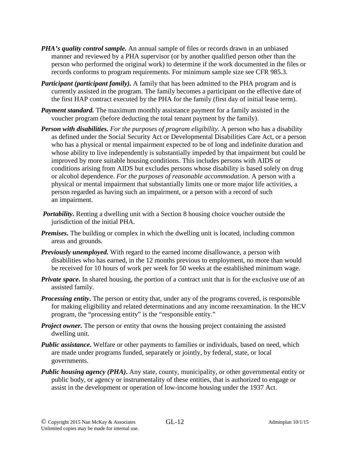- *PHA's quality control sample.* An annual sample of files or records drawn in an unbiased manner and reviewed by a PHA supervisor (or by another qualified person other than the person who performed the original work) to determine if the work documented in the files or records conforms to program requirements. For minimum sample size see CFR 985.3.
- *Participant (participant family).* A family that has been admitted to the PHA program and is currently assisted in the program. The family becomes a participant on the effective date of the first HAP contract executed by the PHA for the family (first day of initial lease term).
- *Payment standard.* The maximum monthly assistance payment for a family assisted in the voucher program (before deducting the total tenant payment by the family).
- *Person with disabilities. For the purposes of program eligibility*. A person who has a disability as defined under the Social Security Act or Developmental Disabilities Care Act, or a person who has a physical or mental impairment expected to be of long and indefinite duration and whose ability to live independently is substantially impeded by that impairment but could be improved by more suitable housing conditions. This includes persons with AIDS or conditions arising from AIDS but excludes persons whose disability is based solely on drug or alcohol dependence. *For the purposes of reasonable accommodation.* A person with a physical or mental impairment that substantially limits one or more major life activities, a person regarded as having such an impairment, or a person with a record of such an impairment.
- *Portability*. Renting a dwelling unit with a Section 8 housing choice voucher outside the jurisdiction of the initial PHA.
- *Premises*. The building or complex in which the dwelling unit is located, including common areas and grounds.
- *Previously unemployed.* With regard to the earned income disallowance, a person with disabilities who has earned, in the 12 months previous to employment, no more than would be received for 10 hours of work per week for 50 weeks at the established minimum wage.
- *Private space*. In shared housing, the portion of a contract unit that is for the exclusive use of an assisted family.
- *Processing entity***.** The person or entity that, under any of the programs covered, is responsible for making eligibility and related determinations and any income reexamination. In the HCV program, the "processing entity" is the "responsible entity."
- *Project owner.* The person or entity that owns the housing project containing the assisted dwelling unit.
- *Public assistance*. Welfare or other payments to families or individuals, based on need, which are made under programs funded, separately or jointly, by federal, state, or local governments.
- *Public housing agency (PHA)***.** Any state, county, municipality, or other governmental entity or public body, or agency or instrumentality of these entities, that is authorized to engage or assist in the development or operation of low-income housing under the 1937 Act.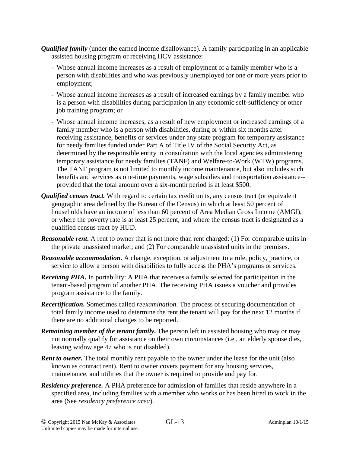- *Qualified family* (under the earned income disallowance). A family participating in an applicable assisted housing program or receiving HCV assistance:
	- Whose annual income increases as a result of employment of a family member who is a person with disabilities and who was previously unemployed for one or more years prior to employment;
	- Whose annual income increases as a result of increased earnings by a family member who is a person with disabilities during participation in any economic self-sufficiency or other job training program; or
	- Whose annual income increases, as a result of new employment or increased earnings of a family member who is a person with disabilities, during or within six months after receiving assistance, benefits or services under any state program for temporary assistance for needy families funded under Part A of Title IV of the Social Security Act, as determined by the responsible entity in consultation with the local agencies administering temporary assistance for needy families (TANF) and Welfare-to-Work (WTW) programs. The TANF program is not limited to monthly income maintenance, but also includes such benefits and services as one-time payments, wage subsidies and transportation assistance- provided that the total amount over a six-month period is at least \$500.
- *Qualified census tract.* With regard to certain tax credit units, any census tract (or equivalent geographic area defined by the Bureau of the Census) in which at least 50 percent of households have an income of less than 60 percent of Area Median Gross Income (AMGI), or where the poverty rate is at least 25 percent, and where the census tract is designated as a qualified census tract by HUD.
- *Reasonable rent*. A rent to owner that is not more than rent charged: (1) For comparable units in the private unassisted market; and (2) For comparable unassisted units in the premises.
- *Reasonable accommodation.* A change, exception, or adjustment to a rule, policy, practice, or service to allow a person with disabilities to fully access the PHA's programs or services.
- *Receiving PHA***.** In portability: A PHA that receives a family selected for participation in the tenant-based program of another PHA. The receiving PHA issues a voucher and provides program assistance to the family.
- *Recertification***.** Sometimes called *reexamination.* The process of securing documentation of total family income used to determine the rent the tenant will pay for the next 12 months if there are no additional changes to be reported.
- *Remaining member of the tenant family***.** The person left in assisted housing who may or may not normally qualify for assistance on their own circumstances (i.e., an elderly spouse dies, leaving widow age 47 who is not disabled).
- *Rent to owner.* The total monthly rent payable to the owner under the lease for the unit (also known as contract rent). Rent to owner covers payment for any housing services, maintenance, and utilities that the owner is required to provide and pay for.
- *Residency preference.* A PHA preference for admission of families that reside anywhere in a specified area, including families with a member who works or has been hired to work in the area (See *residency preference area*).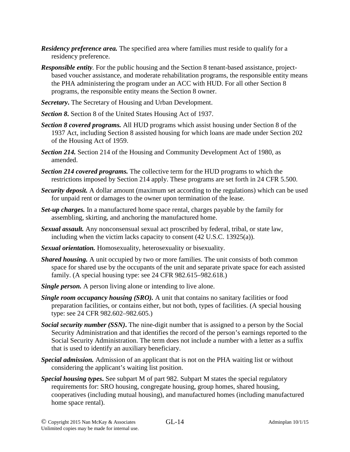- *Residency preference area.* The specified area where families must reside to qualify for a residency preference.
- *Responsible entity.* For the public housing and the Section 8 tenant-based assistance, projectbased voucher assistance, and moderate rehabilitation programs, the responsible entity means the PHA administering the program under an ACC with HUD. For all other Section 8 programs, the responsible entity means the Section 8 owner.
- *Secretary***.** The Secretary of Housing and Urban Development.
- *Section 8***.** Section 8 of the United States Housing Act of 1937.
- *Section 8 covered programs.* All HUD programs which assist housing under Section 8 of the 1937 Act, including Section 8 assisted housing for which loans are made under Section 202 of the Housing Act of 1959.
- *Section 214.* Section 214 of the Housing and Community Development Act of 1980, as amended.
- *Section 214 covered programs.* The collective term for the HUD programs to which the restrictions imposed by Section 214 apply. These programs are set forth in 24 CFR 5.500.
- *Security deposit.* A dollar amount (maximum set according to the regulations) which can be used for unpaid rent or damages to the owner upon termination of the lease.
- *Set-up charges.* In a manufactured home space rental, charges payable by the family for assembling, skirting, and anchoring the manufactured home.
- *Sexual assault.* Any nonconsensual sexual act proscribed by federal, tribal, or state law, including when the victim lacks capacity to consent (42 U.S.C. 13925(a)).
- *Sexual orientation.* Homosexuality, heterosexuality or bisexuality.
- *Shared housing.* A unit occupied by two or more families. The unit consists of both common space for shared use by the occupants of the unit and separate private space for each assisted family. (A special housing type: see 24 CFR 982.615–982.618.)
- *Single person.* A person living alone or intending to live alone.
- *Single room occupancy housing (SRO).* A unit that contains no sanitary facilities or food preparation facilities, or contains either, but not both, types of facilities. (A special housing type: see 24 CFR 982.602–982.605.)
- *Social security number (SSN)***.** The nine-digit number that is assigned to a person by the Social Security Administration and that identifies the record of the person's earnings reported to the Social Security Administration. The term does not include a number with a letter as a suffix that is used to identify an auxiliary beneficiary.
- *Special admission.* Admission of an applicant that is not on the PHA waiting list or without considering the applicant's waiting list position.
- *Special housing types***.** See subpart M of part 982. Subpart M states the special regulatory requirements for: SRO housing, congregate housing, group homes, shared housing, cooperatives (including mutual housing), and manufactured homes (including manufactured home space rental).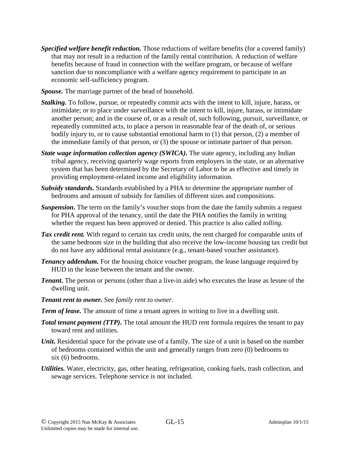- *Specified welfare benefit reduction.* Those reductions of welfare benefits (for a covered family) that may not result in a reduction of the family rental contribution. A reduction of welfare benefits because of fraud in connection with the welfare program, or because of welfare sanction due to noncompliance with a welfare agency requirement to participate in an economic self-sufficiency program.
- *Spouse.* The marriage partner of the head of household.
- *Stalking.* To follow, pursue, or repeatedly commit acts with the intent to kill, injure, harass, or intimidate; or to place under surveillance with the intent to kill, injure, harass, or intimidate another person; and in the course of, or as a result of, such following, pursuit, surveillance, or repeatedly committed acts, to place a person in reasonable fear of the death of, or serious bodily injury to, or to cause substantial emotional harm to (1) that person, (2) a member of the immediate family of that person, or (3) the spouse or intimate partner of that person.
- *State wage information collection agency (SWICA)***.** The state agency, including any Indian tribal agency, receiving quarterly wage reports from employers in the state, or an alternative system that has been determined by the Secretary of Labor to be as effective and timely in providing employment-related income and eligibility information.
- *Subsidy standards.* Standards established by a PHA to determine the appropriate number of bedrooms and amount of subsidy for families of different sizes and compositions.
- *Suspension***.** The term on the family's voucher stops from the date the family submits a request for PHA approval of the tenancy, until the date the PHA notifies the family in writing whether the request has been approved or denied. This practice is also called *tolling.*
- *Tax credit rent.* With regard to certain tax credit units, the rent charged for comparable units of the same bedroom size in the building that also receive the low-income housing tax credit but do not have any additional rental assistance (e.g., tenant-based voucher assistance).
- *Tenancy addendum.* For the housing choice voucher program, the lease language required by HUD in the lease between the tenant and the owner.
- *Tenant*. The person or persons (other than a live-in aide) who executes the lease as lessee of the dwelling unit.
- *Tenant rent to owner.* See *family rent to owner*.
- *Term of lease.* The amount of time a tenant agrees in writing to live in a dwelling unit.
- **Total tenant payment (TTP).** The total amount the HUD rent formula requires the tenant to pay toward rent and utilities.
- *Unit*. Residential space for the private use of a family. The size of a unit is based on the number of bedrooms contained within the unit and generally ranges from zero (0) bedrooms to six (6) bedrooms.
- *Utilities.* Water, electricity, gas, other heating, refrigeration, cooking fuels, trash collection, and sewage services. Telephone service is not included.